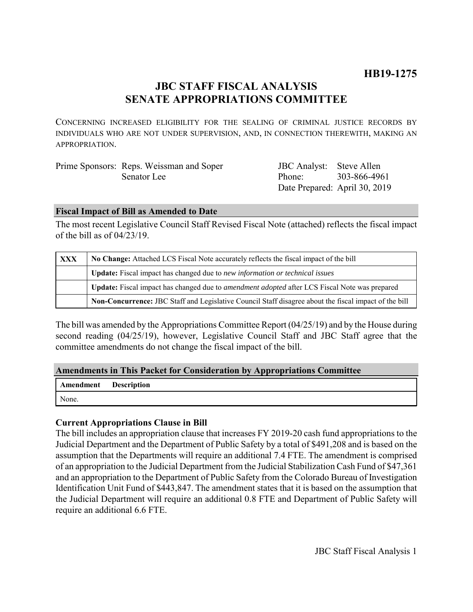# **JBC STAFF FISCAL ANALYSIS SENATE APPROPRIATIONS COMMITTEE**

CONCERNING INCREASED ELIGIBILITY FOR THE SEALING OF CRIMINAL JUSTICE RECORDS BY INDIVIDUALS WHO ARE NOT UNDER SUPERVISION, AND, IN CONNECTION THEREWITH, MAKING AN APPROPRIATION.

| Prime Sponsors: Reps. Weissman and Soper | JBC Analyst: Steve Allen      |              |
|------------------------------------------|-------------------------------|--------------|
| Senator Lee                              | Phone <sup>.</sup>            | 303-866-4961 |
|                                          | Date Prepared: April 30, 2019 |              |

## **Fiscal Impact of Bill as Amended to Date**

The most recent Legislative Council Staff Revised Fiscal Note (attached) reflects the fiscal impact of the bill as of 04/23/19.

| XXX | No Change: Attached LCS Fiscal Note accurately reflects the fiscal impact of the bill                 |  |
|-----|-------------------------------------------------------------------------------------------------------|--|
|     | Update: Fiscal impact has changed due to new information or technical issues                          |  |
|     | Update: Fiscal impact has changed due to <i>amendment adopted</i> after LCS Fiscal Note was prepared  |  |
|     | Non-Concurrence: JBC Staff and Legislative Council Staff disagree about the fiscal impact of the bill |  |

The bill was amended by the Appropriations Committee Report (04/25/19) and by the House during second reading (04/25/19), however, Legislative Council Staff and JBC Staff agree that the committee amendments do not change the fiscal impact of the bill.

## **Amendments in This Packet for Consideration by Appropriations Committee**

| Amendment Description |  |
|-----------------------|--|
| None.                 |  |

## **Current Appropriations Clause in Bill**

The bill includes an appropriation clause that increases FY 2019-20 cash fund appropriations to the Judicial Department and the Department of Public Safety by a total of \$491,208 and is based on the assumption that the Departments will require an additional 7.4 FTE. The amendment is comprised of an appropriation to the Judicial Department from the Judicial Stabilization Cash Fund of \$47,361 and an appropriation to the Department of Public Safety from the Colorado Bureau of Investigation Identification Unit Fund of \$443,847. The amendment states that it is based on the assumption that the Judicial Department will require an additional 0.8 FTE and Department of Public Safety will require an additional 6.6 FTE.